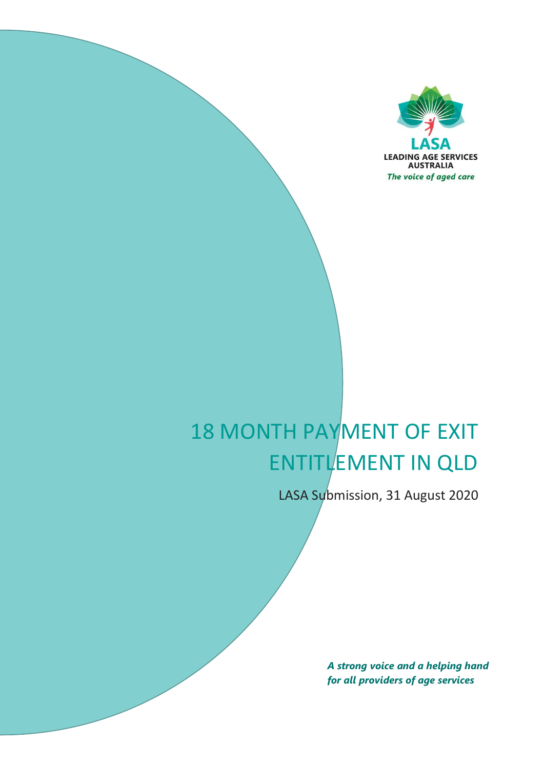

# 18 MONTH PAYMENT OF EXIT ENTITLEMENT IN QLD

LASA Submission, 31 August 2020

*A strong voice and a helping hand for all providers of age services*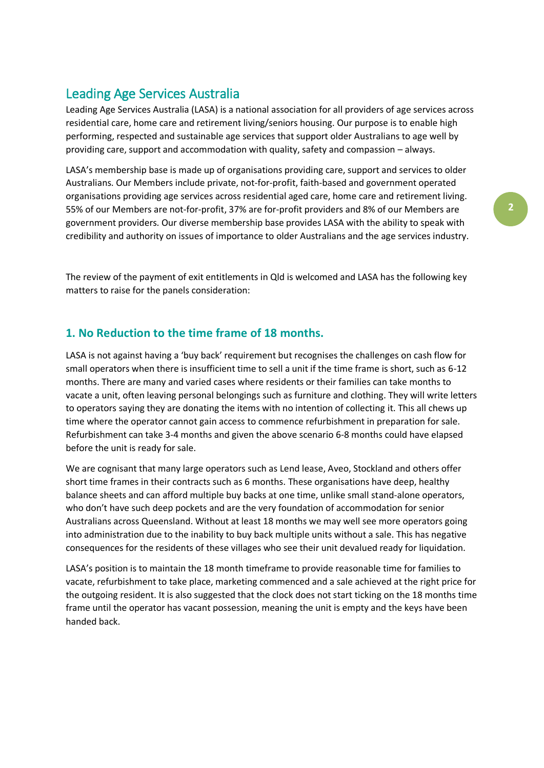## Leading Age Services Australia

Leading Age Services Australia (LASA) is a national association for all providers of age services across residential care, home care and retirement living/seniors housing. Our purpose is to enable high performing, respected and sustainable age services that support older Australians to age well by providing care, support and accommodation with quality, safety and compassion – always.

LASA's membership base is made up of organisations providing care, support and services to older Australians. Our Members include private, not-for-profit, faith-based and government operated organisations providing age services across residential aged care, home care and retirement living. 55% of our Members are not-for-profit, 37% are for-profit providers and 8% of our Members are government providers. Our diverse membership base provides LASA with the ability to speak with credibility and authority on issues of importance to older Australians and the age services industry.

The review of the payment of exit entitlements in Qld is welcomed and LASA has the following key matters to raise for the panels consideration:

#### **1. No Reduction to the time frame of 18 months.**

LASA is not against having a 'buy back' requirement but recognises the challenges on cash flow for small operators when there is insufficient time to sell a unit if the time frame is short, such as 6-12 months. There are many and varied cases where residents or their families can take months to vacate a unit, often leaving personal belongings such as furniture and clothing. They will write letters to operators saying they are donating the items with no intention of collecting it. This all chews up time where the operator cannot gain access to commence refurbishment in preparation for sale. Refurbishment can take 3-4 months and given the above scenario 6-8 months could have elapsed before the unit is ready for sale.

We are cognisant that many large operators such as Lend lease, Aveo, Stockland and others offer short time frames in their contracts such as 6 months. These organisations have deep, healthy balance sheets and can afford multiple buy backs at one time, unlike small stand-alone operators, who don't have such deep pockets and are the very foundation of accommodation for senior Australians across Queensland. Without at least 18 months we may well see more operators going into administration due to the inability to buy back multiple units without a sale. This has negative consequences for the residents of these villages who see their unit devalued ready for liquidation.

LASA's position is to maintain the 18 month timeframe to provide reasonable time for families to vacate, refurbishment to take place, marketing commenced and a sale achieved at the right price for the outgoing resident. It is also suggested that the clock does not start ticking on the 18 months time frame until the operator has vacant possession, meaning the unit is empty and the keys have been handed back.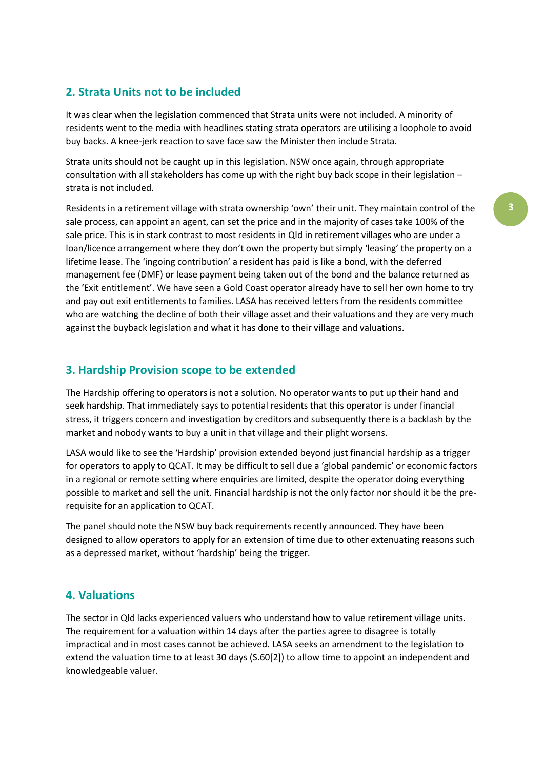#### **2. Strata Units not to be included**

It was clear when the legislation commenced that Strata units were not included. A minority of residents went to the media with headlines stating strata operators are utilising a loophole to avoid buy backs. A knee-jerk reaction to save face saw the Minister then include Strata.

Strata units should not be caught up in this legislation. NSW once again, through appropriate consultation with all stakeholders has come up with the right buy back scope in their legislation – strata is not included.

Residents in a retirement village with strata ownership 'own' their unit. They maintain control of the sale process, can appoint an agent, can set the price and in the majority of cases take 100% of the sale price. This is in stark contrast to most residents in Qld in retirement villages who are under a loan/licence arrangement where they don't own the property but simply 'leasing' the property on a lifetime lease. The 'ingoing contribution' a resident has paid is like a bond, with the deferred management fee (DMF) or lease payment being taken out of the bond and the balance returned as the 'Exit entitlement'. We have seen a Gold Coast operator already have to sell her own home to try and pay out exit entitlements to families. LASA has received letters from the residents committee who are watching the decline of both their village asset and their valuations and they are very much against the buyback legislation and what it has done to their village and valuations.

#### **3. Hardship Provision scope to be extended**

The Hardship offering to operators is not a solution. No operator wants to put up their hand and seek hardship. That immediately says to potential residents that this operator is under financial stress, it triggers concern and investigation by creditors and subsequently there is a backlash by the market and nobody wants to buy a unit in that village and their plight worsens.

LASA would like to see the 'Hardship' provision extended beyond just financial hardship as a trigger for operators to apply to QCAT. It may be difficult to sell due a 'global pandemic' or economic factors in a regional or remote setting where enquiries are limited, despite the operator doing everything possible to market and sell the unit. Financial hardship is not the only factor nor should it be the prerequisite for an application to QCAT.

The panel should note the NSW buy back requirements recently announced. They have been designed to allow operators to apply for an extension of time due to other extenuating reasons such as a depressed market, without 'hardship' being the trigger.

#### **4. Valuations**

The sector in Qld lacks experienced valuers who understand how to value retirement village units. The requirement for a valuation within 14 days after the parties agree to disagree is totally impractical and in most cases cannot be achieved. LASA seeks an amendment to the legislation to extend the valuation time to at least 30 days (S.60[2]) to allow time to appoint an independent and knowledgeable valuer.